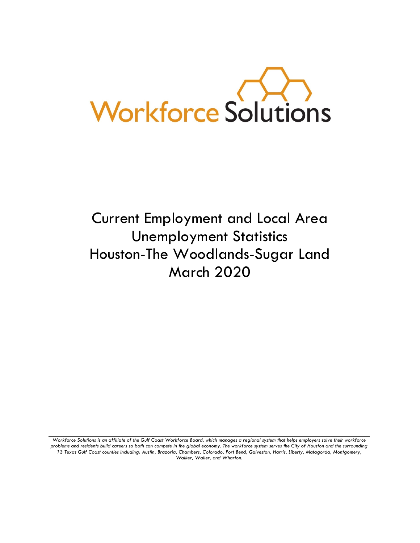

# Current Employment and Local Area Unemployment Statistics Houston-The Woodlands-Sugar Land March 2020

Workforce Solutions is an affiliate of the Gulf Coast Workforce Board, which manages a regional system that helps employers solve their workforce *problems and residents build careers so both can compete in the global economy. The workforce system serves the City of Houston and the surrounding 13 Texas Gulf Coast counties including: Austin, Brazoria, Chambers, Colorado, Fort Bend, Galveston, Harris, Liberty, Matagorda, Montgomery, Walker, Waller, and Wharton.*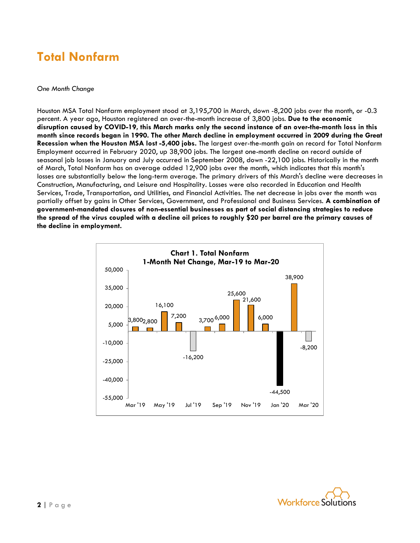### **Total Nonfarm**

#### *One Month Change*

Houston MSA Total Nonfarm employment stood at 3,195,700 in March, down -8,200 jobs over the month, or -0.3 percent. A year ago, Houston registered an over-the-month increase of 3,800 jobs. **Due to the economic disruption caused by COVID-19, this March marks only the second instance of an over-the-month loss in this month since records began in 1990. The other March decline in employment occurred in 2009 during the Great Recession when the Houston MSA lost -5,400 jobs.** The largest over-the-month gain on record for Total Nonfarm Employment occurred in February 2020, up 38,900 jobs. The largest one-month decline on record outside of seasonal job losses in January and July occurred in September 2008, down -22,100 jobs. Historically in the month of March, Total Nonfarm has on average added 12,900 jobs over the month, which indicates that this month's losses are substantially below the long-term average. The primary drivers of this March's decline were decreases in Construction, Manufacturing, and Leisure and Hospitality. Losses were also recorded in Education and Health Services, Trade, Transportation, and Utilities, and Financial Activities. The net decrease in jobs over the month was partially offset by gains in Other Services, Government, and Professional and Business Services. **A combination of government-mandated closures of non-essential businesses as part of social distancing strategies to reduce the spread of the virus coupled with a decline oil prices to roughly \$20 per barrel are the primary causes of the decline in employment.**



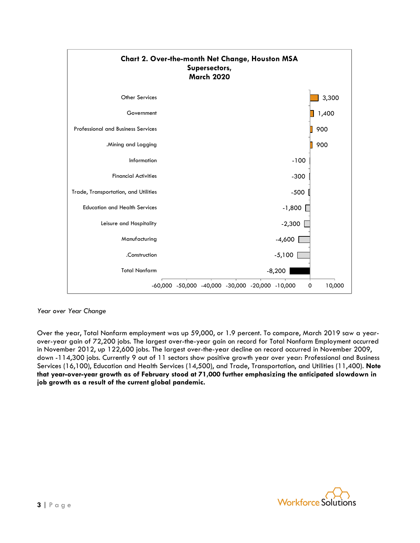

#### *Year over Year Change*

Over the year, Total Nonfarm employment was up 59,000, or 1.9 percent. To compare, March 2019 saw a yearover-year gain of 72,200 jobs. The largest over-the-year gain on record for Total Nonfarm Employment occurred in November 2012, up 122,600 jobs. The largest over-the-year decline on record occurred in November 2009, down -114,300 jobs. Currently 9 out of 11 sectors show positive growth year over year: Professional and Business Services (16,100), Education and Health Services (14,500), and Trade, Transportation, and Utilities (11,400). **Note that year-over-year growth as of February stood at 71,000 further emphasizing the anticipated slowdown in job growth as a result of the current global pandemic.**

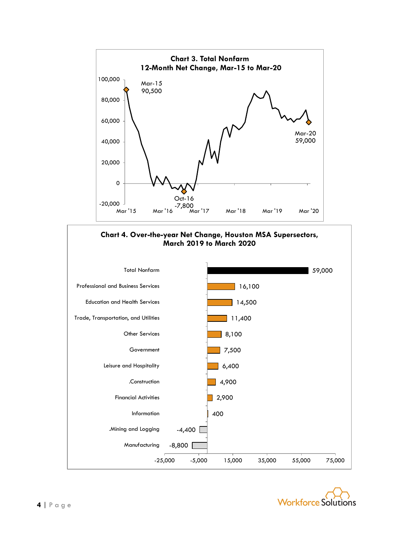



-25,000 -5,000 15,000 35,000 55,000 75,000

-8,800

Manufacturing

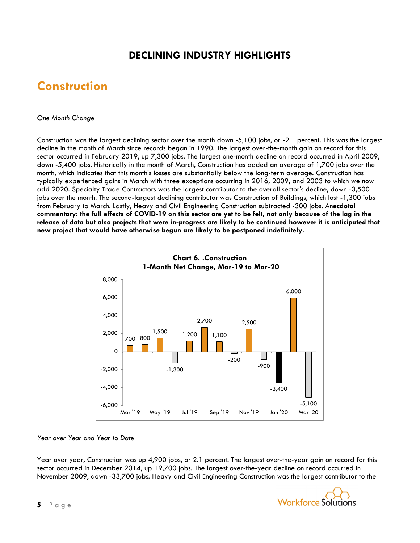### **DECLINING INDUSTRY HIGHLIGHTS**

### **Construction**

#### *One Month Change*

Construction was the largest declining sector over the month down -5,100 jobs, or -2.1 percent. This was the largest decline in the month of March since records began in 1990. The largest over-the-month gain on record for this sector occurred in February 2019, up 7,300 jobs. The largest one-month decline on record occurred in April 2009, down -5,400 jobs. Historically in the month of March, Construction has added an average of 1,700 jobs over the month, which indicates that this month's losses are substantially below the long-term average. Construction has typically experienced gains in March with three exceptions occurring in 2016, 2009, and 2003 to which we now add 2020. Specialty Trade Contractors was the largest contributor to the overall sector's decline, down -3,500 jobs over the month. The second-largest declining contributor was Construction of Buildings, which lost -1,300 jobs from February to March. Lastly, Heavy and Civil Engineering Construction subtracted -300 jobs. An**ecdotal commentary: the full effects of COVID-19 on this sector are yet to be felt, not only because of the lag in the release of data but also projects that were in-progress are likely to be continued however it is anticipated that new project that would have otherwise begun are likely to be postponed indefinitely.**



#### *Year over Year and Year to Date*

Year over year, Construction was up 4,900 jobs, or 2.1 percent. The largest over-the-year gain on record for this sector occurred in December 2014, up 19,700 jobs. The largest over-the-year decline on record occurred in November 2009, down -33,700 jobs. Heavy and Civil Engineering Construction was the largest contributor to the

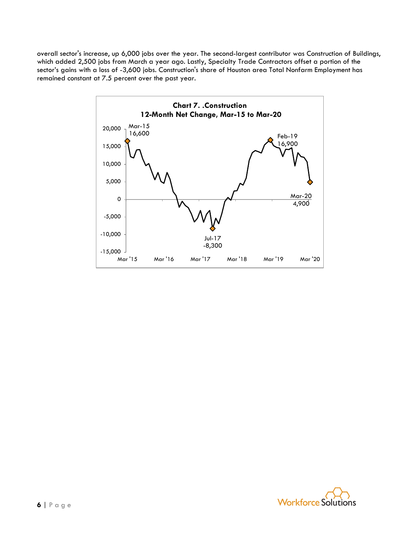overall sector's increase, up 6,000 jobs over the year. The second-largest contributor was Construction of Buildings, which added 2,500 jobs from March a year ago. Lastly, Specialty Trade Contractors offset a portion of the sector's gains with a loss of -3,600 jobs. Construction's share of Houston area Total Nonfarm Employment has remained constant at 7.5 percent over the past year.



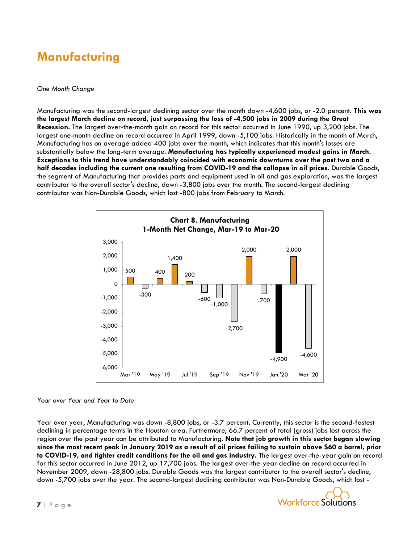### **Manufacturing**

#### *One Month Change*

Manufacturing was the second-largest declining sector over the month down -4,600 jobs, or -2.0 percent. **This was the largest March decline on record, just surpassing the loss of -4,500 jobs in 2009 during the Great Recession.** The largest over-the-month gain on record for this sector occurred in June 1990, up 3,200 jobs. The largest one-month decline on record occurred in April 1999, down -5,100 jobs. Historically in the month of March, Manufacturing has on average added 400 jobs over the month, which indicates that this month's losses are substantially below the long-term average. **Manufacturing has typically experienced modest gains in March. Exceptions to this trend have understandably coincided with economic downturns over the past two and a half decades including the current one resulting from COVID-19 and the collapse in oil prices.** Durable Goods, the segment of Manufacturing that provides parts and equipment used in oil and gas exploration, was the largest contributor to the overall sector's decline, down -3,800 jobs over the month. The second-largest declining contributor was Non-Durable Goods, which lost -800 jobs from February to March.



#### *Year over Year and Year to Date*

Year over year, Manufacturing was down -8,800 jobs, or -3.7 percent. Currently, this sector is the second-fastest declining in percentage terms in the Houston area. Furthermore, 66.7 percent of total (gross) jobs lost across the region over the past year can be attributed to Manufacturing. **Note that job growth in this sector began slowing since the most recent peak in January 2019 as a result of oil prices failing to sustain above \$60 a barrel, prior to COVID-19, and tighter credit conditions for the oil and gas industry.** The largest over-the-year gain on record for this sector occurred in June 2012, up 17,700 jobs. The largest over-the-year decline on record occurred in November 2009, down -28,800 jobs. Durable Goods was the largest contributor to the overall sector's decline, down -5,700 jobs over the year. The second-largest declining contributor was Non-Durable Goods, which lost -

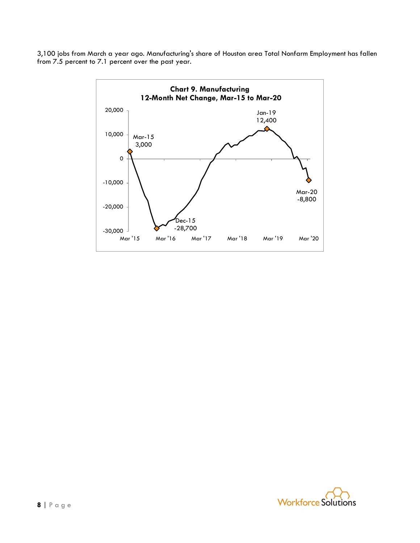3,100 jobs from March a year ago. Manufacturing's share of Houston area Total Nonfarm Employment has fallen from 7.5 percent to 7.1 percent over the past year.



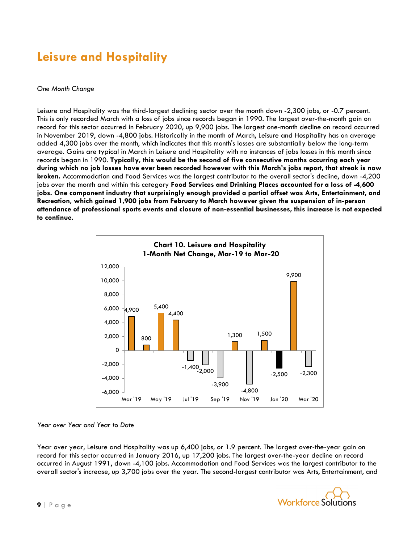### **Leisure and Hospitality**

#### *One Month Change*

Leisure and Hospitality was the third-largest declining sector over the month down -2,300 jobs, or -0.7 percent. This is only recorded March with a loss of jobs since records began in 1990. The largest over-the-month gain on record for this sector occurred in February 2020, up 9,900 jobs. The largest one-month decline on record occurred in November 2019, down -4,800 jobs. Historically in the month of March, Leisure and Hospitality has on average added 4,300 jobs over the month, which indicates that this month's losses are substantially below the long-term average. Gains are typical in March in Leisure and Hospitality with no instances of jobs losses in this month since records began in 1990. **Typically, this would be the second of five consecutive months occurring each year during which no job losses have ever been recorded however with this March's jobs report, that streak is now broken.** Accommodation and Food Services was the largest contributor to the overall sector's decline, down -4,200 jobs over the month and within this category **Food Services and Drinking Places accounted for a loss of -4,600 jobs. One component industry that surprisingly enough provided a partial offset was Arts, Entertainment, and Recreation, which gained 1,900 jobs from February to March however given the suspension of in-person attendance of professional sports events and closure of non-essential businesses, this increase is not expected to continue.**



#### *Year over Year and Year to Date*

Year over year, Leisure and Hospitality was up 6,400 jobs, or 1.9 percent. The largest over-the-year gain on record for this sector occurred in January 2016, up 17,200 jobs. The largest over-the-year decline on record occurred in August 1991, down -4,100 jobs. Accommodation and Food Services was the largest contributor to the overall sector's increase, up 3,700 jobs over the year. The second-largest contributor was Arts, Entertainment, and

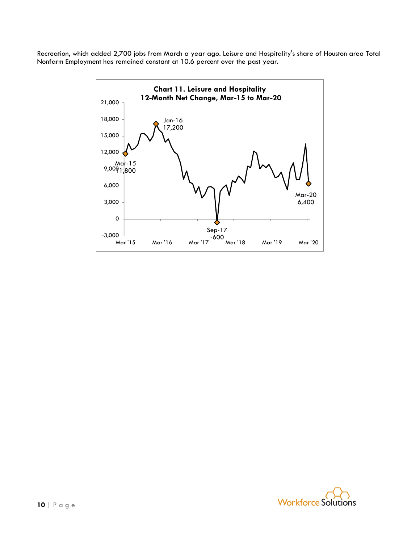Recreation, which added 2,700 jobs from March a year ago. Leisure and Hospitality's share of Houston area Total Nonfarm Employment has remained constant at 10.6 percent over the past year.



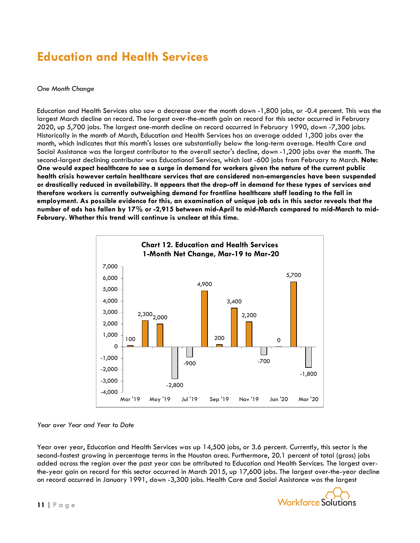### **Education and Health Services**

#### *One Month Change*

Education and Health Services also saw a decrease over the month down -1,800 jobs, or -0.4 percent. This was the largest March decline on record. The largest over-the-month gain on record for this sector occurred in February 2020, up 5,700 jobs. The largest one-month decline on record occurred in February 1990, down -7,300 jobs. Historically in the month of March, Education and Health Services has on average added 1,300 jobs over the month, which indicates that this month's losses are substantially below the long-term average. Health Care and Social Assistance was the largest contributor to the overall sector's decline, down -1,200 jobs over the month. The second-largest declining contributor was Educational Services, which lost -600 jobs from February to March. **Note: One would expect healthcare to see a surge in demand for workers given the nature of the current public health crisis however certain healthcare services that are considered non-emergencies have been suspended or drastically reduced in availability. It appears that the drop-off in demand for these types of services and therefore workers is currently outweighing demand for frontline healthcare staff leading to the fall in employment. As possible evidence for this, an examination of unique job ads in this sector reveals that the number of ads has fallen by 17% or -2,915 between mid-April to mid-March compared to mid-March to mid-February. Whether this trend will continue is unclear at this time.**



#### *Year over Year and Year to Date*

Year over year, Education and Health Services was up 14,500 jobs, or 3.6 percent. Currently, this sector is the second-fastest growing in percentage terms in the Houston area. Furthermore, 20.1 percent of total (gross) jobs added across the region over the past year can be attributed to Education and Health Services. The largest overthe-year gain on record for this sector occurred in March 2015, up 17,600 jobs. The largest over-the-year decline on record occurred in January 1991, down -3,300 jobs. Health Care and Social Assistance was the largest

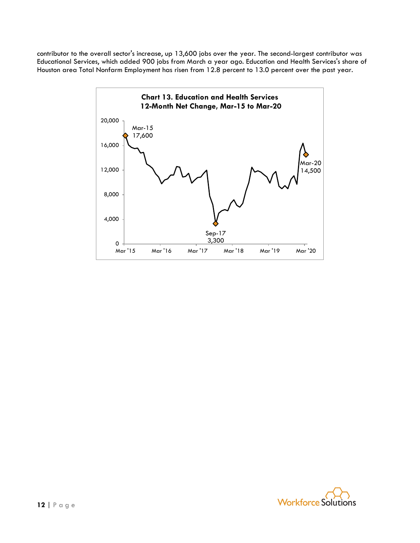contributor to the overall sector's increase, up 13,600 jobs over the year. The second-largest contributor was Educational Services, which added 900 jobs from March a year ago. Education and Health Services's share of Houston area Total Nonfarm Employment has risen from 12.8 percent to 13.0 percent over the past year.



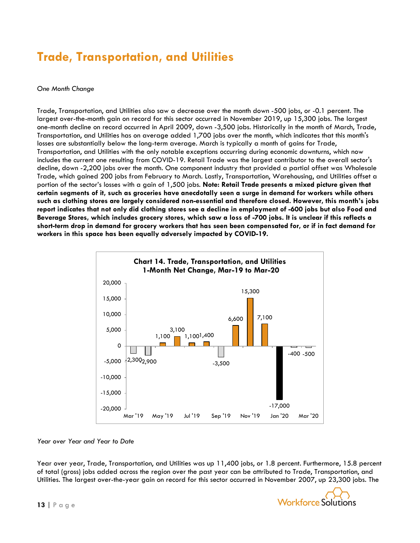## **Trade, Transportation, and Utilities**

#### *One Month Change*

Trade, Transportation, and Utilities also saw a decrease over the month down -500 jobs, or -0.1 percent. The largest over-the-month gain on record for this sector occurred in November 2019, up 15,300 jobs. The largest one-month decline on record occurred in April 2009, down -3,500 jobs. Historically in the month of March, Trade, Transportation, and Utilities has on average added 1,700 jobs over the month, which indicates that this month's losses are substantially below the long-term average. March is typically a month of gains for Trade, Transportation, and Utilities with the only notable exceptions occurring during economic downturns, which now includes the current one resulting from COVID-19. Retail Trade was the largest contributor to the overall sector's decline, down -2,200 jobs over the month. One component industry that provided a partial offset was Wholesale Trade, which gained 200 jobs from February to March. Lastly, Transportation, Warehousing, and Utilities offset a portion of the sector's losses with a gain of 1,500 jobs. **Note: Retail Trade presents a mixed picture given that certain segments of it, such as groceries have anecdotally seen a surge in demand for workers while others such as clothing stores are largely considered non-essential and therefore closed. However, this month's jobs report indicates that not only did clothing stores see a decline in employment of -600 jobs but also Food and Beverage Stores, which includes grocery stores, which saw a loss of -700 jobs. It is unclear if this reflects a short-term drop in demand for grocery workers that has seen been compensated for, or if in fact demand for workers in this space has been equally adversely impacted by COVID-19.**



#### *Year over Year and Year to Date*

Year over year, Trade, Transportation, and Utilities was up 11,400 jobs, or 1.8 percent. Furthermore, 15.8 percent of total (gross) jobs added across the region over the past year can be attributed to Trade, Transportation, and Utilities. The largest over-the-year gain on record for this sector occurred in November 2007, up 23,300 jobs. The

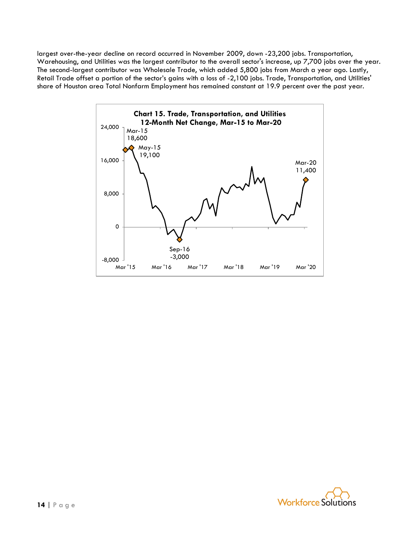largest over-the-year decline on record occurred in November 2009, down -23,200 jobs. Transportation, Warehousing, and Utilities was the largest contributor to the overall sector's increase, up 7,700 jobs over the year. The second-largest contributor was Wholesale Trade, which added 5,800 jobs from March a year ago. Lastly, Retail Trade offset a portion of the sector's gains with a loss of -2,100 jobs. Trade, Transportation, and Utilities' share of Houston area Total Nonfarm Employment has remained constant at 19.9 percent over the past year.



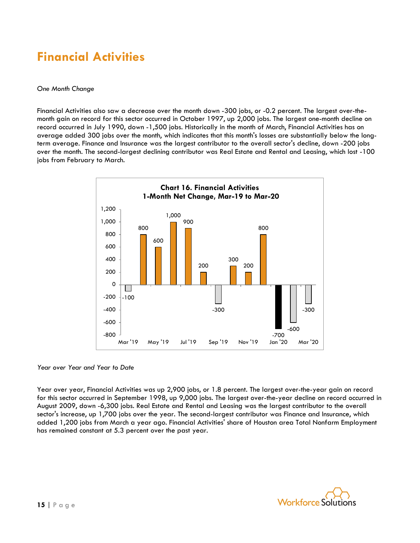### **Financial Activities**

#### *One Month Change*

Financial Activities also saw a decrease over the month down -300 jobs, or -0.2 percent. The largest over-themonth gain on record for this sector occurred in October 1997, up 2,000 jobs. The largest one-month decline on record occurred in July 1990, down -1,500 jobs. Historically in the month of March, Financial Activities has on average added 300 jobs over the month, which indicates that this month's losses are substantially below the longterm average. Finance and Insurance was the largest contributor to the overall sector's decline, down -200 jobs over the month. The second-largest declining contributor was Real Estate and Rental and Leasing, which lost -100 jobs from February to March.



#### *Year over Year and Year to Date*

Year over year, Financial Activities was up 2,900 jobs, or 1.8 percent. The largest over-the-year gain on record for this sector occurred in September 1998, up 9,000 jobs. The largest over-the-year decline on record occurred in August 2009, down -6,300 jobs. Real Estate and Rental and Leasing was the largest contributor to the overall sector's increase, up 1,700 jobs over the year. The second-largest contributor was Finance and Insurance, which added 1,200 jobs from March a year ago. Financial Activities' share of Houston area Total Nonfarm Employment has remained constant at 5.3 percent over the past year.

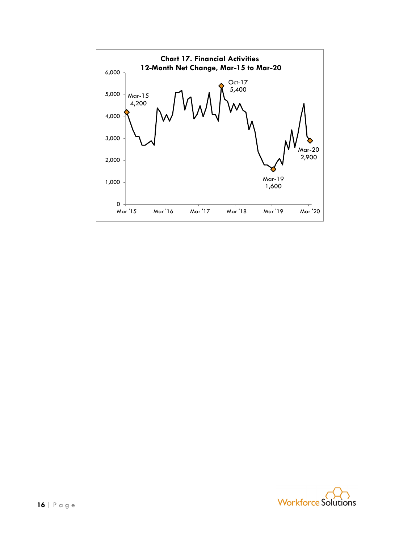

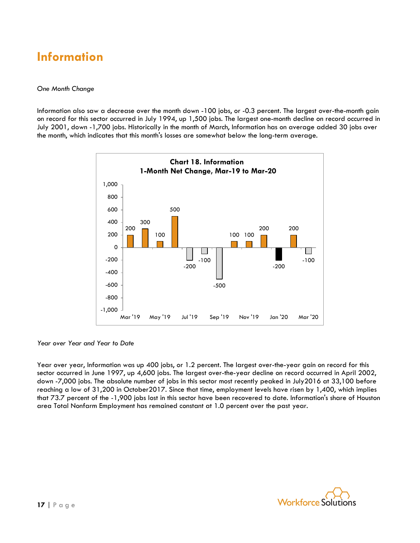### **Information**

#### *One Month Change*

Information also saw a decrease over the month down -100 jobs, or -0.3 percent. The largest over-the-month gain on record for this sector occurred in July 1994, up 1,500 jobs. The largest one-month decline on record occurred in July 2001, down -1,700 jobs. Historically in the month of March, Information has on average added 30 jobs over the month, which indicates that this month's losses are somewhat below the long-term average.



*Year over Year and Year to Date*

Year over year, Information was up 400 jobs, or 1.2 percent. The largest over-the-year gain on record for this sector occurred in June 1997, up 4,600 jobs. The largest over-the-year decline on record occurred in April 2002, down -7,000 jobs. The absolute number of jobs in this sector most recently peaked in July2016 at 33,100 before reaching a low of 31,200 in October2017. Since that time, employment levels have risen by 1,400, which implies that 73.7 percent of the -1,900 jobs lost in this sector have been recovered to date. Information's share of Houston area Total Nonfarm Employment has remained constant at 1.0 percent over the past year.

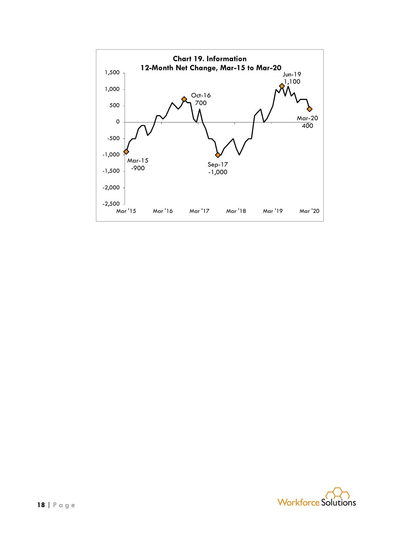

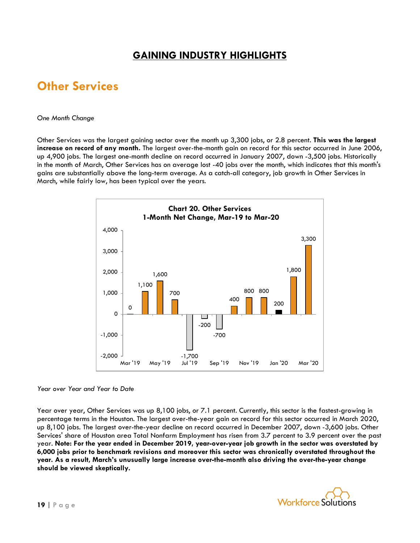### **GAINING INDUSTRY HIGHLIGHTS**

### **Other Services**

#### *One Month Change*

Other Services was the largest gaining sector over the month up 3,300 jobs, or 2.8 percent. **This was the largest increase on record of any month.** The largest over-the-month gain on record for this sector occurred in June 2006, up 4,900 jobs. The largest one-month decline on record occurred in January 2007, down -3,500 jobs. Historically in the month of March, Other Services has on average lost -40 jobs over the month, which indicates that this month's gains are substantially above the long-term average. As a catch-all category, job growth in Other Services in March, while fairly low, has been typical over the years.



#### *Year over Year and Year to Date*

Year over year, Other Services was up 8,100 jobs, or 7.1 percent. Currently, this sector is the fastest-growing in percentage terms in the Houston. The largest over-the-year gain on record for this sector occurred in March 2020, up 8,100 jobs. The largest over-the-year decline on record occurred in December 2007, down -3,600 jobs. Other Services' share of Houston area Total Nonfarm Employment has risen from 3.7 percent to 3.9 percent over the past year. **Note: For the year ended in December 2019, year-over-year job growth in the sector was overstated by 6,000 jobs prior to benchmark revisions and moreover this sector was chronically overstated throughout the year. As a result, March's unusually large increase over-the-month also driving the over-the-year change should be viewed skeptically.**

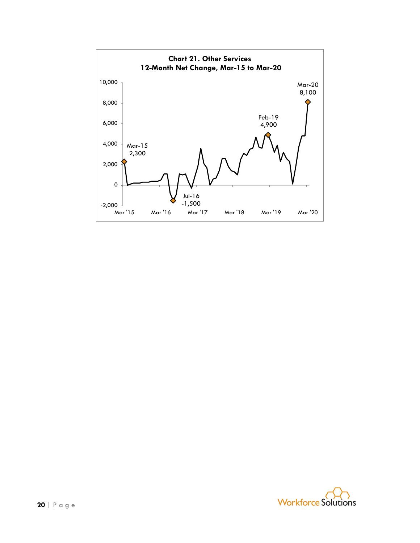

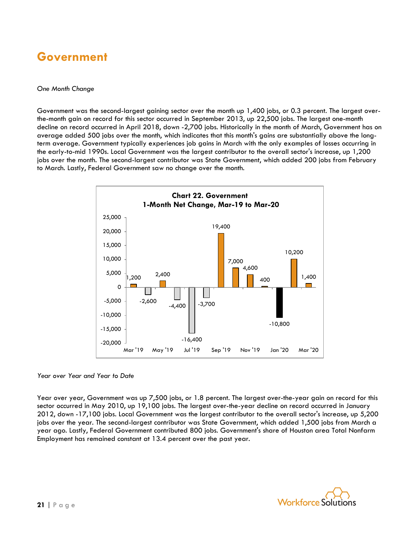### **Government**

#### *One Month Change*

Government was the second-largest gaining sector over the month up 1,400 jobs, or 0.3 percent. The largest overthe-month gain on record for this sector occurred in September 2013, up 22,500 jobs. The largest one-month decline on record occurred in April 2018, down -2,700 jobs. Historically in the month of March, Government has on average added 500 jobs over the month, which indicates that this month's gains are substantially above the longterm average. Government typically experiences job gains in March with the only examples of losses occurring in the early-to-mid 1990s. Local Government was the largest contributor to the overall sector's increase, up 1,200 jobs over the month. The second-largest contributor was State Government, which added 200 jobs from February to March. Lastly, Federal Government saw no change over the month.



*Year over Year and Year to Date*

Year over year, Government was up 7,500 jobs, or 1.8 percent. The largest over-the-year gain on record for this sector occurred in May 2010, up 19,100 jobs. The largest over-the-year decline on record occurred in January 2012, down -17,100 jobs. Local Government was the largest contributor to the overall sector's increase, up 5,200 jobs over the year. The second-largest contributor was State Government, which added 1,500 jobs from March a year ago. Lastly, Federal Government contributed 800 jobs. Government's share of Houston area Total Nonfarm Employment has remained constant at 13.4 percent over the past year.

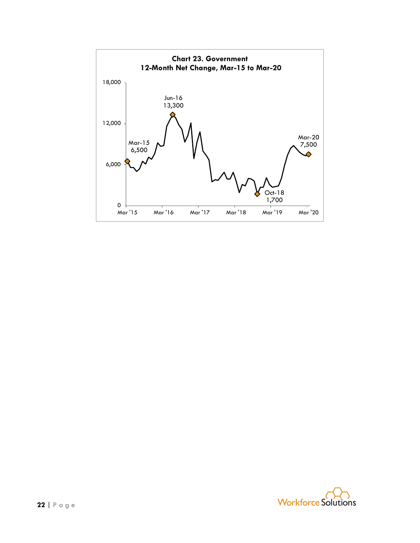

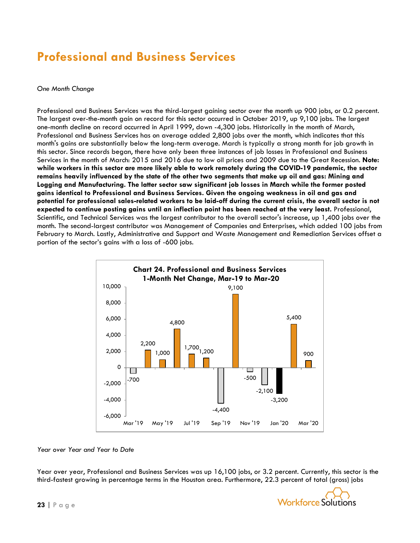### **Professional and Business Services**

#### *One Month Change*

Professional and Business Services was the third-largest gaining sector over the month up 900 jobs, or 0.2 percent. The largest over-the-month gain on record for this sector occurred in October 2019, up 9,100 jobs. The largest one-month decline on record occurred in April 1999, down -4,300 jobs. Historically in the month of March, Professional and Business Services has on average added 2,800 jobs over the month, which indicates that this month's gains are substantially below the long-term average. March is typically a strong month for job growth in this sector. Since records began, there have only been three instances of job losses in Professional and Business Services in the month of March: 2015 and 2016 due to low oil prices and 2009 due to the Great Recession. **Note: while workers in this sector are more likely able to work remotely during the COVID-19 pandemic, the sector remains heavily influenced by the state of the other two segments that make up oil and gas: Mining and Logging and Manufacturing. The latter sector saw significant job losses in March while the former posted gains identical to Professional and Business Services. Given the ongoing weakness in oil and gas and potential for professional sales-related workers to be laid-off during the current crisis, the overall sector is not expected to continue posting gains until an inflection point has been reached at the very least.** Professional, Scientific, and Technical Services was the largest contributor to the overall sector's increase, up 1,400 jobs over the month. The second-largest contributor was Management of Companies and Enterprises, which added 100 jobs from February to March. Lastly, Administrative and Support and Waste Management and Remediation Services offset a portion of the sector's gains with a loss of -600 jobs.



#### *Year over Year and Year to Date*

Year over year, Professional and Business Services was up 16,100 jobs, or 3.2 percent. Currently, this sector is the third-fastest growing in percentage terms in the Houston area. Furthermore, 22.3 percent of total (gross) jobs

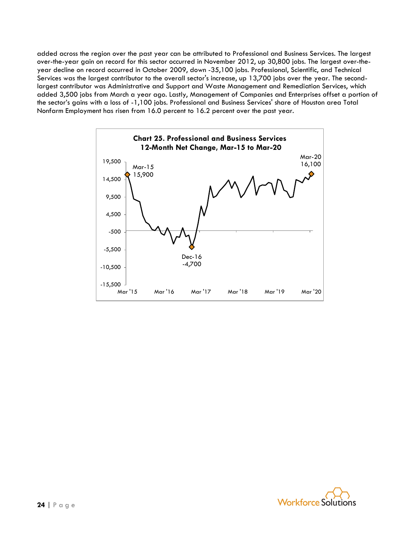added across the region over the past year can be attributed to Professional and Business Services. The largest over-the-year gain on record for this sector occurred in November 2012, up 30,800 jobs. The largest over-theyear decline on record occurred in October 2009, down -35,100 jobs. Professional, Scientific, and Technical Services was the largest contributor to the overall sector's increase, up 13,700 jobs over the year. The secondlargest contributor was Administrative and Support and Waste Management and Remediation Services, which added 3,500 jobs from March a year ago. Lastly, Management of Companies and Enterprises offset a portion of the sector's gains with a loss of -1,100 jobs. Professional and Business Services' share of Houston area Total Nonfarm Employment has risen from 16.0 percent to 16.2 percent over the past year.



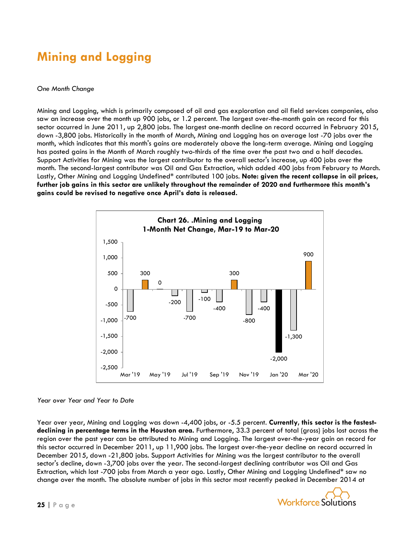## **Mining and Logging**

#### *One Month Change*

Mining and Logging, which is primarily composed of oil and gas exploration and oil field services companies, also saw an increase over the month up 900 jobs, or 1.2 percent. The largest over-the-month gain on record for this sector occurred in June 2011, up 2,800 jobs. The largest one-month decline on record occurred in February 2015, down -3,800 jobs. Historically in the month of March, Mining and Logging has on average lost -70 jobs over the month, which indicates that this month's gains are moderately above the long-term average. Mining and Logging has posted gains in the Month of March roughly two-thirds of the time over the past two and a half decades. Support Activities for Mining was the largest contributor to the overall sector's increase, up 400 jobs over the month. The second-largest contributor was Oil and Gas Extraction, which added 400 jobs from February to March. Lastly, Other Mining and Logging Undefined\* contributed 100 jobs. **Note: given the recent collapse in oil prices, further job gains in this sector are unlikely throughout the remainder of 2020 and furthermore this month's gains could be revised to negative once April's data is released.**



#### *Year over Year and Year to Date*

Year over year, Mining and Logging was down -4,400 jobs, or -5.5 percent. **Currently, this sector is the fastestdeclining in percentage terms in the Houston area.** Furthermore, 33.3 percent of total (gross) jobs lost across the region over the past year can be attributed to Mining and Logging. The largest over-the-year gain on record for this sector occurred in December 2011, up 11,900 jobs. The largest over-the-year decline on record occurred in December 2015, down -21,800 jobs. Support Activities for Mining was the largest contributor to the overall sector's decline, down -3,700 jobs over the year. The second-largest declining contributor was Oil and Gas Extraction, which lost -700 jobs from March a year ago. Lastly, Other Mining and Logging Undefined\* saw no change over the month. The absolute number of jobs in this sector most recently peaked in December 2014 at

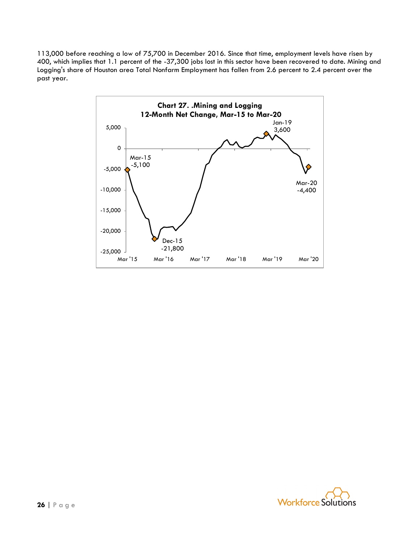113,000 before reaching a low of 75,700 in December 2016. Since that time, employment levels have risen by 400, which implies that 1.1 percent of the -37,300 jobs lost in this sector have been recovered to date. Mining and Logging's share of Houston area Total Nonfarm Employment has fallen from 2.6 percent to 2.4 percent over the past year.



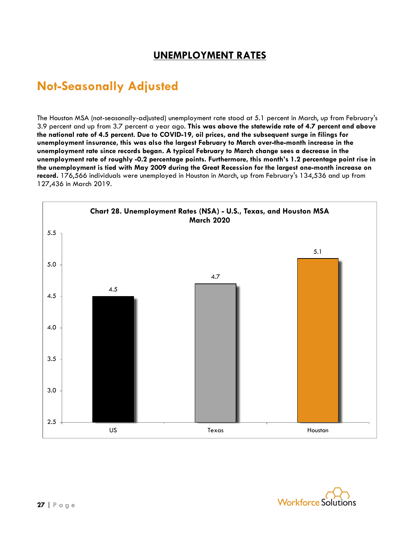### **UNEMPLOYMENT RATES**

### **Not-Seasonally Adjusted**

The Houston MSA (not-seasonally-adjusted) unemployment rate stood at 5.1 percent in March, up from February's 3.9 percent and up from 3.7 percent a year ago. **This was above the statewide rate of 4.7 percent and above the national rate of 4.5 percent. Due to COVID-19, oil prices, and the subsequent surge in filings for unemployment insurance, this was also the largest February to March over-the-month increase in the unemployment rate since records began. A typical February to March change sees a decrease in the unemployment rate of roughly -0.2 percentage points. Furthermore, this month's 1.2 percentage point rise in the unemployment is tied with May 2009 during the Great Recession for the largest one-month increase on record.** 176,566 individuals were unemployed in Houston in March, up from February's 134,536 and up from 127,436 in March 2019.



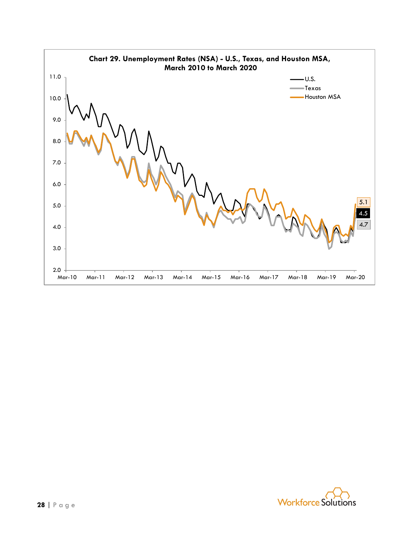

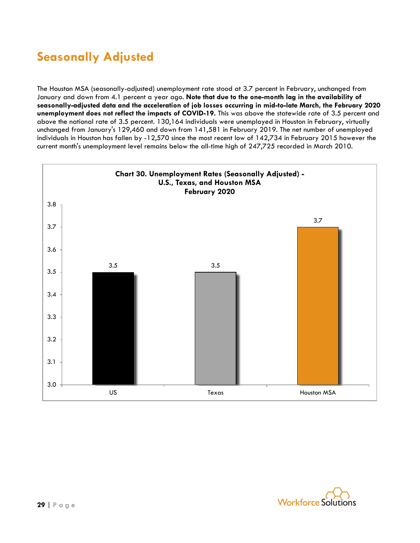## **Seasonally Adjusted**

The Houston MSA (seasonally-adjusted) unemployment rate stood at 3.7 percent in February, unchanged from January and down from 4.1 percent a year ago. **Note that due to the one-month lag in the availability of seasonally-adjusted data and the acceleration of job losses occurring in mid-to-late March, the February 2020 unemployment does not reflect the impacts of COVID-19.** This was above the statewide rate of 3.5 percent and above the national rate of 3.5 percent. 130,164 individuals were unemployed in Houston in February, virtually unchanged from January's 129,460 and down from 141,581 in February 2019. The net number of unemployed individuals in Houston has fallen by -12,570 since the most recent low of 142,734 in February 2015 however the current month's unemployment level remains below the all-time high of 247,725 recorded in March 2010.



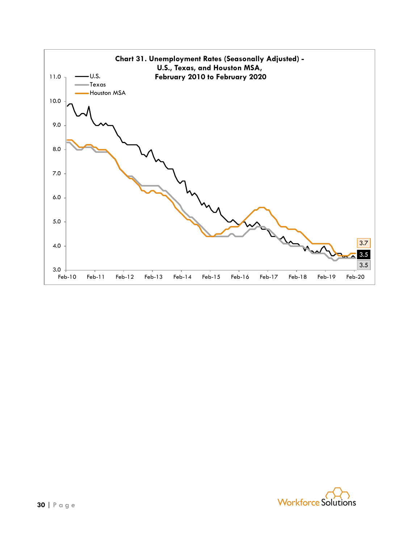

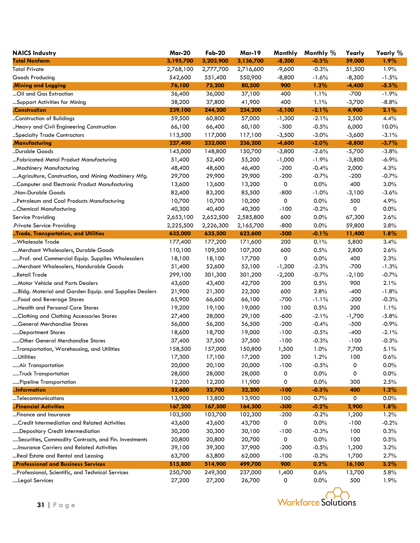| <b>NAICS Industry</b>                                 | <b>Mar-20</b> | <b>Feb-20</b> | <b>Mar-19</b> | Monthly  | Monthly % | Yearly   | Yearly % |
|-------------------------------------------------------|---------------|---------------|---------------|----------|-----------|----------|----------|
| <b>Total Nonfarm</b>                                  | 3,195,700     | 3,203,900     | 3,136,700     | $-8,200$ | $-0.3%$   | 59,000   | $1.9\%$  |
| <b>Total Private</b>                                  | 2,768,100     | 2,777,700     | 2,716,600     | $-9,600$ | $-0.3%$   | 51,500   | 1.9%     |
| Goods Producing                                       | 542,600       | 551,400       | 550,900       | $-8,800$ | $-1.6%$   | $-8,300$ | $-1.5%$  |
| Mining and Logging                                    | 76,100        | 75,200        | 80,500        | 900      | 1.2%      | $-4,400$ | $-5.5%$  |
| Oil and Gas Extraction                                | 36,400        | 36,000        | 37,100        | 400      | 1.1%      | $-700$   | $-1.9%$  |
| Support Activities for Mining                         | 38,200        | 37,800        | 41,900        | 400      | 1.1%      | $-3,700$ | $-8.8%$  |
| .Construction                                         | 239,100       | 244,200       | 234,200       | $-5,100$ | $-2.1%$   | 4,900    | 2.1%     |
| Construction of Buildings                             | 59,500        | 60,800        | 57,000        | $-1,300$ | $-2.1%$   | 2,500    | 4.4%     |
| Heavy and Civil Engineering Construction              | 66,100        | 66,400        | 60,100        | $-300$   | $-0.5%$   | 6,000    | 10.0%    |
| Specialty Trade Contractors                           | 113,500       | 117,000       | 117,100       | $-3,500$ | $-3.0%$   | $-3,600$ | $-3.1%$  |
| .Manufacturing                                        | 227,400       | 232,000       | 236,200       | $-4,600$ | $-2.0\%$  | $-8,800$ | $-3.7\%$ |
| Durable Goods                                         | 145,000       | 148,800       | 150,700       | $-3,800$ | $-2.6%$   | $-5,700$ | $-3.8%$  |
| Fabricated Metal Product Manufacturing                | 51,400        | 52,400        | 55,200        | $-1,000$ | $-1.9%$   | $-3,800$ | $-6.9%$  |
| Machinery Manufacturing                               | 48,400        | 48,600        | 46,400        | $-200$   | $-0.4%$   | 2,000    | 4.3%     |
| Agriculture, Construction, and Mining Machinery Mfg.  | 29,700        | 29,900        | 29,900        | $-200$   | $-0.7%$   | $-200$   | $-0.7%$  |
| Computer and Electronic Product Manufacturing         | 13,600        | 13,600        | 13,200        | 0        | 0.0%      | 400      | 3.0%     |
| Non-Durable Goods                                     | 82,400        | 83,200        | 85,500        | $-800$   | $-1.0%$   | $-3,100$ | $-3.6%$  |
| Petroleum and Coal Products Manufacturing             | 10,700        | 10,700        | 10,200        | 0        | 0.0%      | 500      | 4.9%     |
| Chemical Manufacturing                                | 40,300        | 40,400        | 40,300        | $-100$   | $-0.2%$   | 0        | 0.0%     |
| Service Providing                                     | 2,653,100     | 2,652,500     | 2,585,800     | 600      | 0.0%      | 67,300   | 2.6%     |
| .Private Service Providing                            | 2,225,500     | 2,226,300     | 2,165,700     | $-800$   | 0.0%      | 59,800   | 2.8%     |
| Trade, Transportation, and Utilities                  | 635,000       | 635,500       | 623,600       | $-500$   | $-0.1\%$  | 11,400   | 1.8%     |
| Wholesale Trade                                       | 177,400       | 177,200       | 171,600       | 200      | 0.1%      | 5,800    | 3.4%     |
| Merchant Wholesalers, Durable Goods                   | 110,100       | 109,500       | 107,300       | 600      | 0.5%      | 2,800    | 2.6%     |
| Prof. and Commercial Equip. Supplies Wholesalers      | 18,100        | 18,100        | 17,700        | 0        | 0.0%      | 400      | 2.3%     |
| Merchant Wholesalers, Nondurable Goods                | 51,400        | 52,600        | 52,100        | $-1,200$ | $-2.3%$   | $-700$   | $-1.3%$  |
| …Retail Trade                                         | 299,100       | 301,300       | 301,200       | $-2,200$ | $-0.7%$   | $-2,100$ | $-0.7%$  |
| Motor Vehicle and Parts Dealers                       | 43,600        | 43,400        | 42,700        | 200      | 0.5%      | 900      | 2.1%     |
| Bldg. Material and Garden Equip. and Supplies Dealers | 21,900        | 21,300        | 22,300        | 600      | 2.8%      | $-400$   | $-1.8%$  |
| Food and Beverage Stores                              | 65,900        | 66,600        | 66,100        | $-700$   | $-1.1%$   | $-200$   | $-0.3%$  |
| Health and Personal Care Stores                       | 19,200        | 19,100        | 19,000        | 100      | 0.5%      | 200      | 1.1%     |
| Clothing and Clothing Accessories Stores              | 27,400        | 28,000        | 29,100        | $-600$   | $-2.1%$   | $-1,700$ | $-5.8%$  |
| General Merchandise Stores                            | 56,000        | 56,200        | 56,500        | $-200$   | $-0.4%$   | $-500$   | $-0.9%$  |
| Department Stores                                     | 18,600        | 18,700        | 19,000        | $-100$   | $-0.5%$   | $-400$   | $-2.1%$  |
| Other General Merchandise Stores                      | 37,400        | 37,500        | 37,500        | $-100$   | $-0.3%$   | $-100$   | $-0.3%$  |
| Transportation, Warehousing, and Utilities            | 158,500       | 157,000       | 150,800       | 1,500    | 1.0%      | 7,700    | 5.1%     |
| Utilities                                             | 17,300        | 17,100        | 17,200        | 200      | 1.2%      | 100      | 0.6%     |
| Air Transportation                                    | 20,000        | 20,100        | 20,000        | $-100$   | $-0.5%$   | 0        | 0.0%     |
| Truck Transportation                                  | 28,000        | 28,000        | 28,000        | 0        | 0.0%      | 0        | 0.0%     |
| Pipeline Transportation                               | 12,200        | 12,200        | 11,900        | 0        | 0.0%      | 300      | 2.5%     |
| Information                                           | 32,600        | 32,700        | 32,200        | $-100$   | $-0.3\%$  | 400      | 1.2%     |
| Telecommunications                                    | 13,900        | 13,800        | 13,900        | 100      | 0.7%      | 0        | 0.0%     |
| Financial Activities                                  | 167,200       | 167,500       | 164,300       | $-300$   | $-0.2\%$  | 2,900    | 1.8%     |
| Finance and Insurance                                 | 103,500       | 103,700       | 102,300       | $-200$   | $-0.2%$   | 1,200    | 1.2%     |
| Credit Intermediation and Related Activities          | 43,600        | 43,600        | 43,700        | 0        | 0.0%      | $-100$   | $-0.2%$  |
| Depository Credit Intermediation                      | 30,200        | 30,300        | 30,100        | $-100$   | $-0.3%$   | 100      | 0.3%     |
| Securities, Commodity Contracts, and Fin. Investments | 20,800        | 20,800        | 20,700        | 0        | 0.0%      | 100      | 0.5%     |
| Insurance Carriers and Related Activities             | 39,100        | 39,300        | 37,900        | $-200$   | $-0.5%$   | 1,200    | 3.2%     |
| Real Estate and Rental and Leasing                    | 63,700        | 63,800        | 62,000        | $-100$   | $-0.2%$   | 1,700    | 2.7%     |
| Professional and Business Services                    | 515,800       | 514,900       | 499,700       | 900      | 0.2%      | 16,100   | 3.2%     |
| Professional, Scientific, and Technical Services      | 250,700       | 249,300       | 237,000       | 1,400    | 0.6%      | 13,700   | 5.8%     |
| Legal Services                                        | 27,200        | 27,200        | 26,700        | 0        | 0.0%      | 500      | 1.9%     |